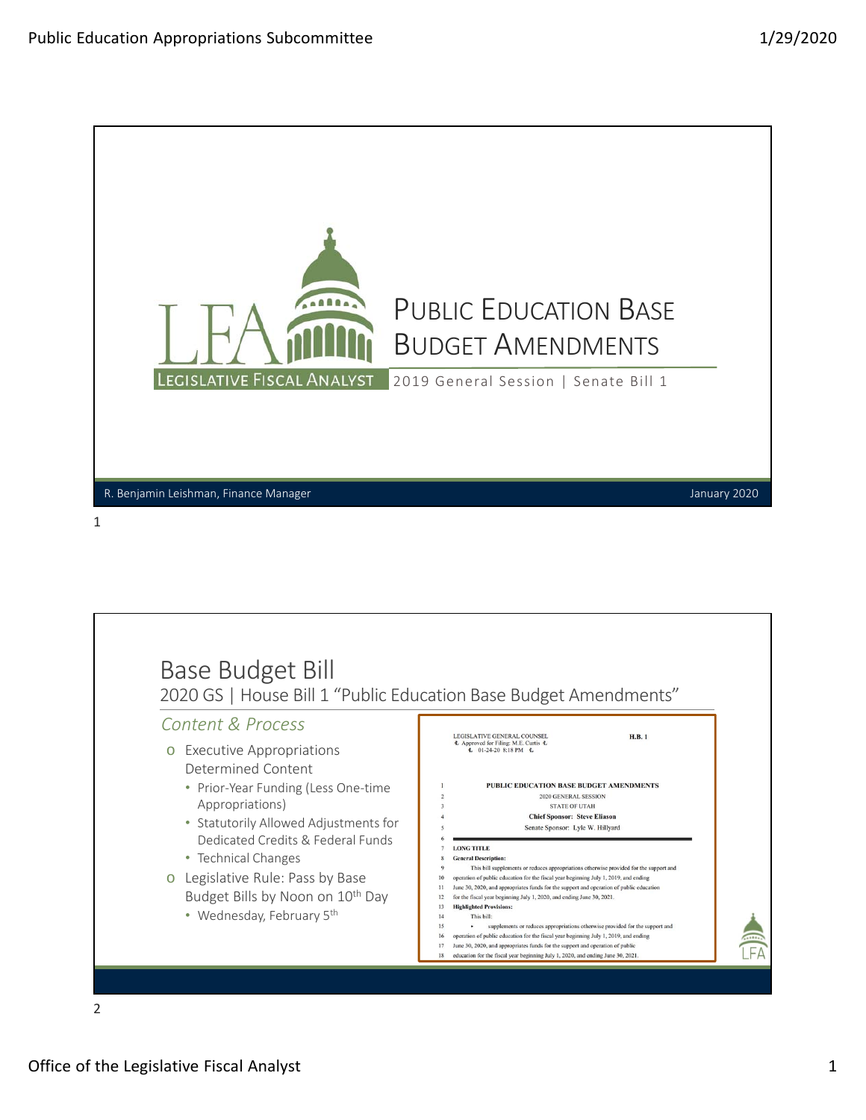

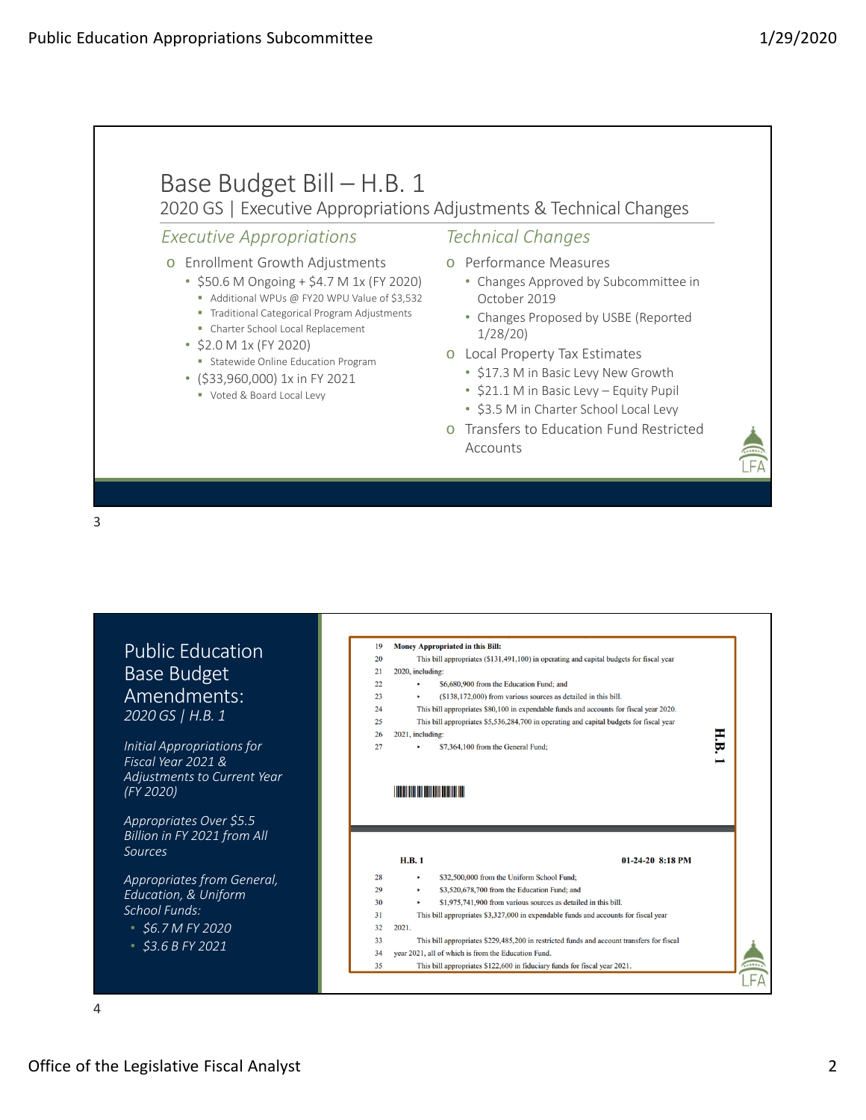

3

| <b>Public Education</b><br>Base Budget<br>Amendments:<br>2020 GS   H.B. 1<br>Initial Appropriations for<br>Fiscal Year 2021 &<br>Adjustments to Current Year<br>(FY 2020)<br>Appropriates Over \$5.5 | Money Appropriated in this Bill:<br>19<br>20<br>This bill appropriates (\$131,491,100) in operating and capital budgets for fiscal year<br>21<br>2020, including:<br>22<br>\$6,680,900 from the Education Fund; and<br>(\$138,172,000) from various sources as detailed in this bill.<br>23<br>٠<br>24<br>This bill appropriates \$80,100 in expendable funds and accounts for fiscal year 2020.<br>This bill appropriates \$5,536,284,700 in operating and capital budgets for fiscal year<br>25<br>H.B.<br>26<br>2021, including:<br>27<br>\$7,364,100 from the General Fund;<br><b>The Committee of the Committee of the Committee</b> |
|------------------------------------------------------------------------------------------------------------------------------------------------------------------------------------------------------|-------------------------------------------------------------------------------------------------------------------------------------------------------------------------------------------------------------------------------------------------------------------------------------------------------------------------------------------------------------------------------------------------------------------------------------------------------------------------------------------------------------------------------------------------------------------------------------------------------------------------------------------|
| Billion in FY 2021 from All<br>Sources                                                                                                                                                               | <b>H.B.1</b><br>$01-24-20$ 8:18 PM                                                                                                                                                                                                                                                                                                                                                                                                                                                                                                                                                                                                        |
| Appropriates from General,<br>Education, & Uniform<br>School Funds:<br>$$6.7$ M FY 2020                                                                                                              | \$32,500,000 from the Uniform School Fund;<br>28<br>٠<br>29<br>\$3,520,678,700 from the Education Fund; and<br>٠<br>30<br>\$1,975,741,900 from various sources as detailed in this bill.<br>×<br>31<br>This bill appropriates \$3,327,000 in expendable funds and accounts for fiscal year<br>32<br>2021.<br>33<br>This bill appropriates \$229,485,200 in restricted funds and account transfers for fiscal                                                                                                                                                                                                                              |

4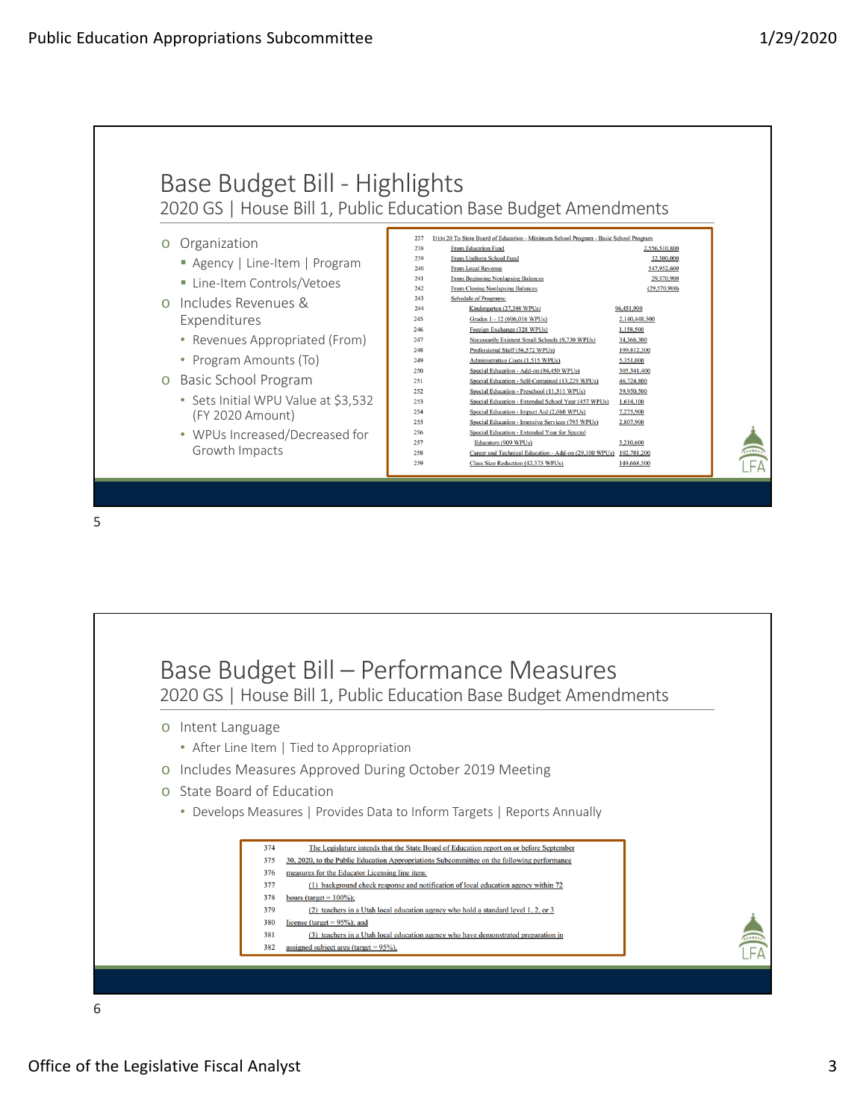

5